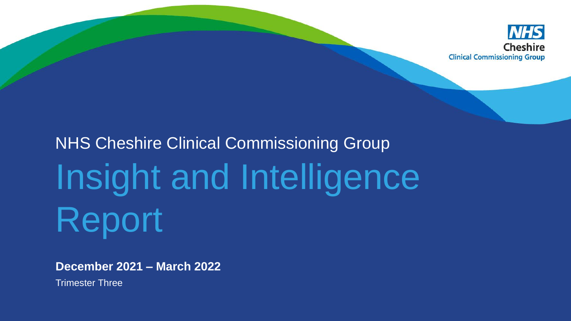

# NHS Cheshire Clinical Commissioning Group Insight and Intelligence Report

**December 2021 – March 2022** 

Trimester Three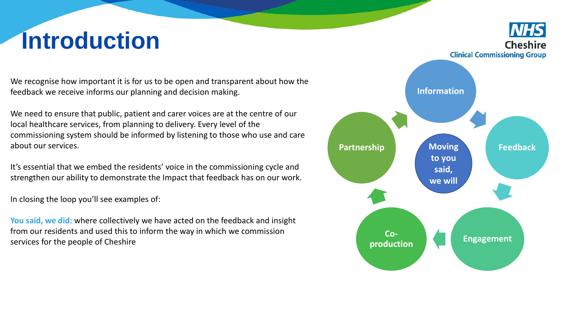# **Introduction**

We recognise how important it is for us to be open and transparent about how the feedback we receive informs our planning and decision making.

We need to ensure that public, patient and carer voices are at the centre of our local healthcare services, from planning to delivery. Every level of the commissioning system should be informed by listening to those who use and care about our services.

It's essential that we embed the residents' voice in the commissioning cycle and strengthen our ability to demonstrate the Impact that feedback has on our work.

In closing the loop you'll see examples of:

**You said, we did:** where collectively we have acted on the feedback and insight from our residents and used this to inform the way in which we commission services for the people of Cheshire

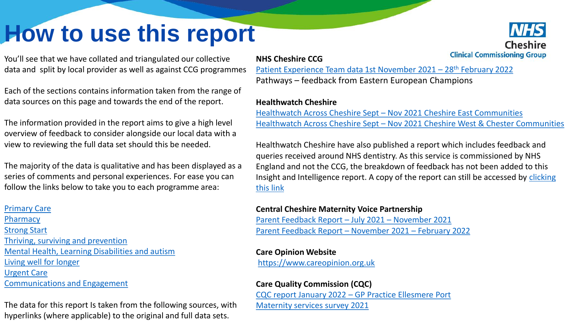# <span id="page-2-0"></span>**How to use this report**

You'll see that we have collated and triangulated our collective data and split by local provider as well as against CCG programmes

Each of the sections contains information taken from the range of data sources on this page and towards the end of the report.

The information provided in the report aims to give a high level overview of feedback to consider alongside our local data with a view to reviewing the full data set should this be needed.

The majority of the data is qualitative and has been displayed as a series of comments and personal experiences. For ease you can follow the links below to take you to each programme area:

# [Primary Care](#page-6-0)

**[Pharmacy](#page-14-0)** [Strong Start](#page-17-0) [Thriving, surviving and prevention](#page-24-0) [Mental Health, Learning Disabilities and autism](#page-27-0) [Living well for longer](#page-29-0)  Urgent Care [Communications and Engagement](#page-32-0)

The data for this report Is taken from the following sources, with hyperlinks (where applicable) to the original and full data sets.

# **NHS Cheshire CCG**

[Patient Experience Team data 1st November 2021](https://westcheshireway.glasscubes.com/share/s/ns6u1432jktrqdnk37kjebtsk9) – 28<sup>th</sup> February 2022 Pathways – feedback from Eastern European Champions

## **Healthwatch Cheshire**

Healthwatch Across Cheshire Sept – [Nov 2021 Cheshire East Communities](https://healthwatchcheshireeast.org.uk/wp-content/uploads/2022/02/Healthwatch-Across-Cheshire-Report-Sep-Nov-2021-Cheshire-East-Care-Communities.pdf) Healthwatch Across Cheshire Sept – [Nov 2021 Cheshire West & Chester Communities](https://healthwatchcwac.org.uk/wp-content/uploads/2022/02/Healthwatch-Across-Cheshire-Report-Sep-Nov-2021-CWaC-Care-Communities.pdf)

Healthwatch Cheshire have also published a report which includes feedback and queries received around NHS dentistry. As this service is commissioned by NHS England and not the CCG, the breakdown of feedback has not been added to this [Insight and Intelligence report. A copy of the report can still be accessed by clicking](https://healthwatchcheshireeast.org.uk/wp-content/uploads/2022/01/Dental-queries-received-by-Healthwatch-Cheshire-April-December-2021.pdf)  this link

### **Central Cheshire Maternity Voice Partnership**

[Parent Feedback Report](https://westcheshireway.glasscubes.com/share/s/6vg8ntaa2972b2qct9gqfidbl9) – July 2021 – November 2021 [Parent Feedback Report](https://westcheshireway.glasscubes.com/share/s/uj90o5ge7p3q5rafmcmgou8h7j) – November 2021 – February 2022

### **Care Opinion Website**

[https://www.careopinion.org.uk](https://www.careopinion.org.uk/)

# **Care Quality Commission (CQC)**

CQC report January 2022 – [GP Practice Ellesmere Port](https://api.cqc.org.uk/public/v1/reports/6d5168b9-c0e8-483e-a0bf-38d85db7a30c?20220110100036) [Maternity services survey 2021](http://www.cqc.org.uk/maternitysurvey)

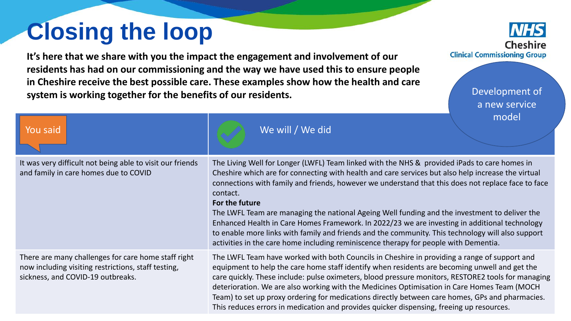# **Closing the loop**

**It's here that we share with you the impact the engagement and involvement of our residents has had on our commissioning and the way we have used this to ensure people in Cheshire receive the best possible care. These examples show how the health and care system is working together for the benefits of our residents.** 

Cheshire **Clinical Commissioning Group** 

> Development of a new service model

| You said                                                                                                                                        | <b>THOUGH</b><br>We will / We did                                                                                                                                                                                                                                                                                                                                                                                                                                                                                                                                                                                                                                                                                                     |
|-------------------------------------------------------------------------------------------------------------------------------------------------|---------------------------------------------------------------------------------------------------------------------------------------------------------------------------------------------------------------------------------------------------------------------------------------------------------------------------------------------------------------------------------------------------------------------------------------------------------------------------------------------------------------------------------------------------------------------------------------------------------------------------------------------------------------------------------------------------------------------------------------|
| It was very difficult not being able to visit our friends<br>and family in care homes due to COVID                                              | The Living Well for Longer (LWFL) Team linked with the NHS & provided iPads to care homes in<br>Cheshire which are for connecting with health and care services but also help increase the virtual<br>connections with family and friends, however we understand that this does not replace face to face<br>contact.<br>For the future<br>The LWFL Team are managing the national Ageing Well funding and the investment to deliver the<br>Enhanced Health in Care Homes Framework. In 2022/23 we are investing in additional technology<br>to enable more links with family and friends and the community. This technology will also support<br>activities in the care home including reminiscence therapy for people with Dementia. |
| There are many challenges for care home staff right<br>now including visiting restrictions, staff testing,<br>sickness, and COVID-19 outbreaks. | The LWFL Team have worked with both Councils in Cheshire in providing a range of support and<br>equipment to help the care home staff identify when residents are becoming unwell and get the<br>care quickly. These include: pulse oximeters, blood pressure monitors, RESTORE2 tools for managing<br>deterioration. We are also working with the Medicines Optimisation in Care Homes Team (MOCH<br>Team) to set up proxy ordering for medications directly between care homes, GPs and pharmacies.<br>This reduces errors in medication and provides quicker dispensing, freeing up resources.                                                                                                                                     |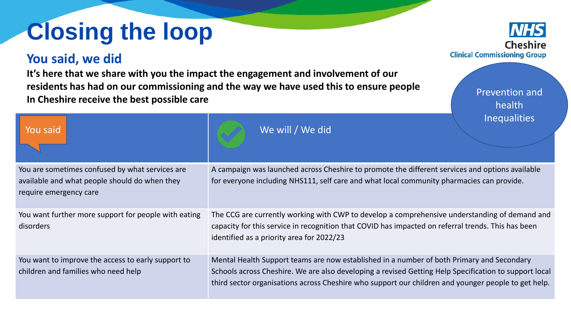# **Closing the loop**

# **You said, we did**

**It's here that we share with you the impact the engagement and involvement of our residents has had on our commissioning and the way we have used this to ensure people In Cheshire receive the best possible care** 

You are sometimes confused by what services are available and what people should do when they require emergency care A campaign was launched across Cheshire to promote the different services and options available for everyone including NHS111, self care and what local community pharmacies can provide. You want further more support for people with eating disorders The CCG are currently working with CWP to develop a comprehensive understanding of demand and capacity for this service in recognition that COVID has impacted on referral trends. This has been identified as a priority area for 2022/23 You want to improve the access to early support to children and families who need help Mental Health Support teams are now established in a number of both Primary and Secondary Schools across Cheshire. We are also developing a revised Getting Help Specification to support local third sector organisations across Cheshire who support our children and younger people to get help. You said  $\begin{array}{ccc} \text{You said} \end{array}$ 

**Clinical Commissioning Group** 

Prevention and health **Inequalities**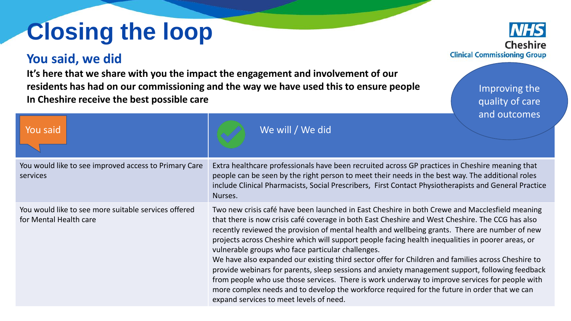# **Closing the loop**

# **You said, we did**

**It's here that we share with you the impact the engagement and involvement of our residents has had on our commissioning and the way we have used this to ensure people In Cheshire receive the best possible care** 

You would like to see improved access to Primary Care services Extra healthcare professionals have been recruited across GP practices in Cheshire meaning that people can be seen by the right person to meet their needs in the best way. The additional roles include Clinical Pharmacists, Social Prescribers, First Contact Physiotherapists and General Practice Nurses. You would like to see more suitable services offered for Mental Health care Two new crisis café have been launched in East Cheshire in both Crewe and Macclesfield meaning that there is now crisis café coverage in both East Cheshire and West Cheshire. The CCG has also recently reviewed the provision of mental health and wellbeing grants. There are number of new projects across Cheshire which will support people facing health inequalities in poorer areas, or vulnerable groups who face particular challenges. We have also expanded our existing third sector offer for Children and families across Cheshire to provide webinars for parents, sleep sessions and anxiety management support, following feedback from people who use those services. There is work underway to improve services for people with more complex needs and to develop the workforce required for the future in order that we can expand services to meet levels of need. You said  $\begin{array}{ccc} \text{You said} \end{array}$ 

**Clinical Commissioning Group** 

Improving the quality of care and outcomes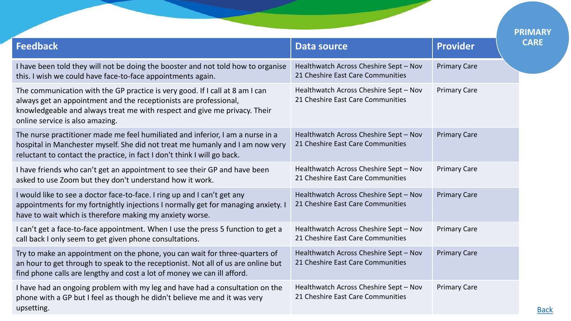<span id="page-6-0"></span>

|                                                                                                                                                                                                                                                                   |                                                                             |                     | <b>PRIMARY</b> |
|-------------------------------------------------------------------------------------------------------------------------------------------------------------------------------------------------------------------------------------------------------------------|-----------------------------------------------------------------------------|---------------------|----------------|
| <b>Feedback</b>                                                                                                                                                                                                                                                   | <b>Data source</b>                                                          | <b>Provider</b>     | <b>CARE</b>    |
| I have been told they will not be doing the booster and not told how to organise<br>this. I wish we could have face-to-face appointments again.                                                                                                                   | Healthwatch Across Cheshire Sept - Nov<br>21 Cheshire East Care Communities | <b>Primary Care</b> |                |
| The communication with the GP practice is very good. If I call at 8 am I can<br>always get an appointment and the receptionists are professional,<br>knowledgeable and always treat me with respect and give me privacy. Their<br>online service is also amazing. | Healthwatch Across Cheshire Sept - Nov<br>21 Cheshire East Care Communities | <b>Primary Care</b> |                |
| The nurse practitioner made me feel humiliated and inferior, I am a nurse in a<br>hospital in Manchester myself. She did not treat me humanly and I am now very<br>reluctant to contact the practice, in fact I don't think I will go back.                       | Healthwatch Across Cheshire Sept - Nov<br>21 Cheshire East Care Communities | <b>Primary Care</b> |                |
| I have friends who can't get an appointment to see their GP and have been<br>asked to use Zoom but they don't understand how it work.                                                                                                                             | Healthwatch Across Cheshire Sept - Nov<br>21 Cheshire East Care Communities | <b>Primary Care</b> |                |
| I would like to see a doctor face-to-face. I ring up and I can't get any<br>appointments for my fortnightly injections I normally get for managing anxiety. I<br>have to wait which is therefore making my anxiety worse.                                         | Healthwatch Across Cheshire Sept - Nov<br>21 Cheshire East Care Communities | <b>Primary Care</b> |                |
| I can't get a face-to-face appointment. When I use the press 5 function to get a<br>call back I only seem to get given phone consultations.                                                                                                                       | Healthwatch Across Cheshire Sept - Nov<br>21 Cheshire East Care Communities | <b>Primary Care</b> |                |
| Try to make an appointment on the phone, you can wait for three-quarters of<br>an hour to get through to speak to the receptionist. Not all of us are online but<br>find phone calls are lengthy and cost a lot of money we can ill afford.                       | Healthwatch Across Cheshire Sept - Nov<br>21 Cheshire East Care Communities | <b>Primary Care</b> |                |
| I have had an ongoing problem with my leg and have had a consultation on the<br>phone with a GP but I feel as though he didn't believe me and it was very<br>upsetting.                                                                                           | Healthwatch Across Cheshire Sept - Nov<br>21 Cheshire East Care Communities | <b>Primary Care</b> |                |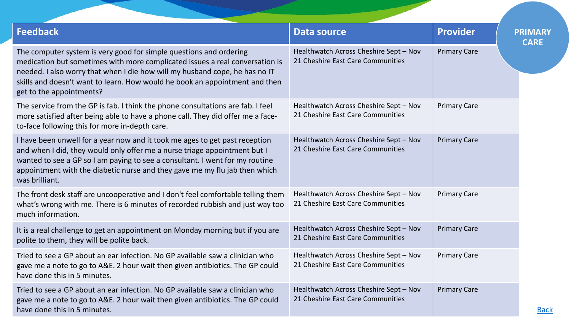| <b>Feedback</b>                                                                                                                                                                                                                                                                                                                              | <b>Data source</b>                                                          | <b>Provider</b>     | <b>PRIMARY</b><br><b>CARE</b> |
|----------------------------------------------------------------------------------------------------------------------------------------------------------------------------------------------------------------------------------------------------------------------------------------------------------------------------------------------|-----------------------------------------------------------------------------|---------------------|-------------------------------|
| The computer system is very good for simple questions and ordering<br>medication but sometimes with more complicated issues a real conversation is<br>needed. I also worry that when I die how will my husband cope, he has no IT<br>skills and doesn't want to learn. How would he book an appointment and then<br>get to the appointments? | Healthwatch Across Cheshire Sept - Nov<br>21 Cheshire East Care Communities | <b>Primary Care</b> |                               |
| The service from the GP is fab. I think the phone consultations are fab. I feel<br>more satisfied after being able to have a phone call. They did offer me a face-<br>to-face following this for more in-depth care.                                                                                                                         | Healthwatch Across Cheshire Sept - Nov<br>21 Cheshire East Care Communities | <b>Primary Care</b> |                               |
| I have been unwell for a year now and it took me ages to get past reception<br>and when I did, they would only offer me a nurse triage appointment but I<br>wanted to see a GP so I am paying to see a consultant. I went for my routine<br>appointment with the diabetic nurse and they gave me my flu jab then which<br>was brilliant.     | Healthwatch Across Cheshire Sept - Nov<br>21 Cheshire East Care Communities | <b>Primary Care</b> |                               |
| The front desk staff are uncooperative and I don't feel comfortable telling them<br>what's wrong with me. There is 6 minutes of recorded rubbish and just way too<br>much information.                                                                                                                                                       | Healthwatch Across Cheshire Sept - Nov<br>21 Cheshire East Care Communities | <b>Primary Care</b> |                               |
| It is a real challenge to get an appointment on Monday morning but if you are<br>polite to them, they will be polite back.                                                                                                                                                                                                                   | Healthwatch Across Cheshire Sept - Nov<br>21 Cheshire East Care Communities | <b>Primary Care</b> |                               |
| Tried to see a GP about an ear infection. No GP available saw a clinician who<br>gave me a note to go to A&E. 2 hour wait then given antibiotics. The GP could<br>have done this in 5 minutes.                                                                                                                                               | Healthwatch Across Cheshire Sept - Nov<br>21 Cheshire East Care Communities | <b>Primary Care</b> |                               |
| Tried to see a GP about an ear infection. No GP available saw a clinician who<br>gave me a note to go to A&E. 2 hour wait then given antibiotics. The GP could<br>have done this in 5 minutes.                                                                                                                                               | Healthwatch Across Cheshire Sept - Nov<br>21 Cheshire East Care Communities | <b>Primary Care</b> |                               |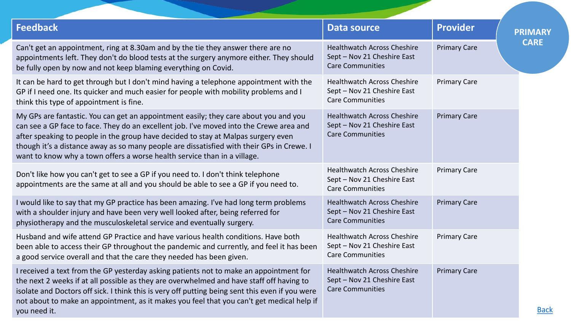| <b>Feedback</b>                                                                                                                                                                                                                                                                                                                                                                                                                               | <b>Data source</b>                                                                           | <b>Provider</b>     | <b>PRIMARY</b> |
|-----------------------------------------------------------------------------------------------------------------------------------------------------------------------------------------------------------------------------------------------------------------------------------------------------------------------------------------------------------------------------------------------------------------------------------------------|----------------------------------------------------------------------------------------------|---------------------|----------------|
| Can't get an appointment, ring at 8.30am and by the tie they answer there are no<br>appointments left. They don't do blood tests at the surgery anymore either. They should<br>be fully open by now and not keep blaming everything on Covid.                                                                                                                                                                                                 | <b>Healthwatch Across Cheshire</b><br>Sept - Nov 21 Cheshire East<br><b>Care Communities</b> | <b>Primary Care</b> | <b>CARE</b>    |
| It can be hard to get through but I don't mind having a telephone appointment with the<br>GP if I need one. Its quicker and much easier for people with mobility problems and I<br>think this type of appointment is fine.                                                                                                                                                                                                                    | <b>Healthwatch Across Cheshire</b><br>Sept - Nov 21 Cheshire East<br><b>Care Communities</b> | <b>Primary Care</b> |                |
| My GPs are fantastic. You can get an appointment easily; they care about you and you<br>can see a GP face to face. They do an excellent job. I've moved into the Crewe area and<br>after speaking to people in the group have decided to stay at Malpas surgery even<br>though it's a distance away as so many people are dissatisfied with their GPs in Crewe. I<br>want to know why a town offers a worse health service than in a village. | <b>Healthwatch Across Cheshire</b><br>Sept - Nov 21 Cheshire East<br><b>Care Communities</b> | <b>Primary Care</b> |                |
| Don't like how you can't get to see a GP if you need to. I don't think telephone<br>appointments are the same at all and you should be able to see a GP if you need to.                                                                                                                                                                                                                                                                       | <b>Healthwatch Across Cheshire</b><br>Sept - Nov 21 Cheshire East<br><b>Care Communities</b> | <b>Primary Care</b> |                |
| I would like to say that my GP practice has been amazing. I've had long term problems<br>with a shoulder injury and have been very well looked after, being referred for<br>physiotherapy and the musculoskeletal service and eventually surgery.                                                                                                                                                                                             | <b>Healthwatch Across Cheshire</b><br>Sept - Nov 21 Cheshire East<br><b>Care Communities</b> | <b>Primary Care</b> |                |
| Husband and wife attend GP Practice and have various health conditions. Have both<br>been able to access their GP throughout the pandemic and currently, and feel it has been<br>a good service overall and that the care they needed has been given.                                                                                                                                                                                         | <b>Healthwatch Across Cheshire</b><br>Sept - Nov 21 Cheshire East<br><b>Care Communities</b> | <b>Primary Care</b> |                |
| I received a text from the GP yesterday asking patients not to make an appointment for<br>the next 2 weeks if at all possible as they are overwhelmed and have staff off having to<br>isolate and Doctors off sick. I think this is very off putting being sent this even if you were<br>not about to make an appointment, as it makes you feel that you can't get medical help if<br>you need it.                                            | <b>Healthwatch Across Cheshire</b><br>Sept - Nov 21 Cheshire East<br><b>Care Communities</b> | <b>Primary Care</b> | <b>Back</b>    |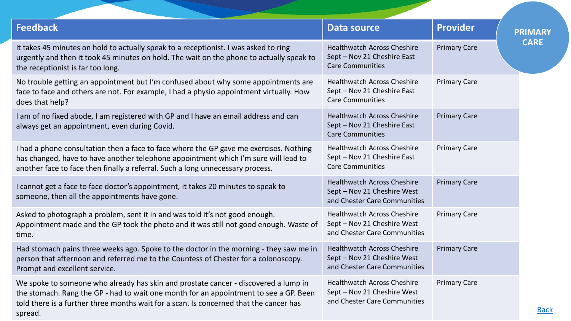| <b>Feedback</b>                                                                                                                                                                                                                                                                   | <b>Data source</b>                                                                                | <b>Provider</b>     | <b>PRIMARY</b> |
|-----------------------------------------------------------------------------------------------------------------------------------------------------------------------------------------------------------------------------------------------------------------------------------|---------------------------------------------------------------------------------------------------|---------------------|----------------|
| It takes 45 minutes on hold to actually speak to a receptionist. I was asked to ring<br>urgently and then it took 45 minutes on hold. The wait on the phone to actually speak to<br>the receptionist is far too long.                                                             | <b>Healthwatch Across Cheshire</b><br>Sept - Nov 21 Cheshire East<br><b>Care Communities</b>      | <b>Primary Care</b> | <b>CARE</b>    |
| No trouble getting an appointment but I'm confused about why some appointments are<br>face to face and others are not. For example, I had a physio appointment virtually. How<br>does that help?                                                                                  | <b>Healthwatch Across Cheshire</b><br>Sept - Nov 21 Cheshire East<br><b>Care Communities</b>      | <b>Primary Care</b> |                |
| I am of no fixed abode, I am registered with GP and I have an email address and can<br>always get an appointment, even during Covid.                                                                                                                                              | <b>Healthwatch Across Cheshire</b><br>Sept - Nov 21 Cheshire East<br><b>Care Communities</b>      | <b>Primary Care</b> |                |
| I had a phone consultation then a face to face where the GP gave me exercises. Nothing<br>has changed, have to have another telephone appointment which I'm sure will lead to<br>another face to face then finally a referral. Such a long unnecessary process.                   | <b>Healthwatch Across Cheshire</b><br>Sept - Nov 21 Cheshire East<br><b>Care Communities</b>      | <b>Primary Care</b> |                |
| I cannot get a face to face doctor's appointment, it takes 20 minutes to speak to<br>someone, then all the appointments have gone.                                                                                                                                                | <b>Healthwatch Across Cheshire</b><br>Sept - Nov 21 Cheshire West<br>and Chester Care Communities | <b>Primary Care</b> |                |
| Asked to photograph a problem, sent it in and was told it's not good enough.<br>Appointment made and the GP took the photo and it was still not good enough. Waste of<br>time.                                                                                                    | <b>Healthwatch Across Cheshire</b><br>Sept - Nov 21 Cheshire West<br>and Chester Care Communities | <b>Primary Care</b> |                |
| Had stomach pains three weeks ago. Spoke to the doctor in the morning - they saw me in<br>person that afternoon and referred me to the Countess of Chester for a colonoscopy.<br>Prompt and excellent service.                                                                    | <b>Healthwatch Across Cheshire</b><br>Sept - Nov 21 Cheshire West<br>and Chester Care Communities | <b>Primary Care</b> |                |
| We spoke to someone who already has skin and prostate cancer - discovered a lump in<br>the stomach. Rang the GP - had to wait one month for an appointment to see a GP. Been<br>told there is a further three months wait for a scan. Is concerned that the cancer has<br>spread. | <b>Healthwatch Across Cheshire</b><br>Sept - Nov 21 Cheshire West<br>and Chester Care Communities | <b>Primary Care</b> |                |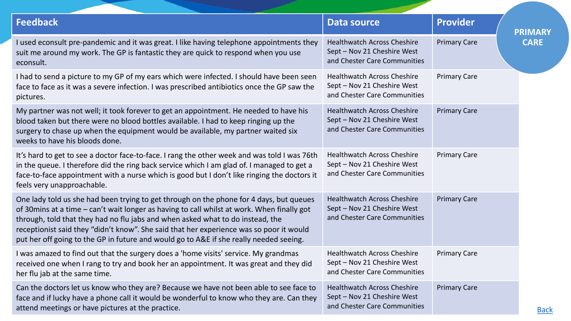| <b>Feedback</b>                                                                                                                                                                                                                                                                                                                                                                                                                                              | <b>Data source</b>                                                                                | <b>Provider</b>     | <b>PRIMARY</b> |
|--------------------------------------------------------------------------------------------------------------------------------------------------------------------------------------------------------------------------------------------------------------------------------------------------------------------------------------------------------------------------------------------------------------------------------------------------------------|---------------------------------------------------------------------------------------------------|---------------------|----------------|
| I used econsult pre-pandemic and it was great. I like having telephone appointments they<br>suit me around my work. The GP is fantastic they are quick to respond when you use<br>econsult.                                                                                                                                                                                                                                                                  | <b>Healthwatch Across Cheshire</b><br>Sept - Nov 21 Cheshire West<br>and Chester Care Communities | <b>Primary Care</b> | <b>CARE</b>    |
| I had to send a picture to my GP of my ears which were infected. I should have been seen<br>face to face as it was a severe infection. I was prescribed antibiotics once the GP saw the<br>pictures.                                                                                                                                                                                                                                                         | <b>Healthwatch Across Cheshire</b><br>Sept - Nov 21 Cheshire West<br>and Chester Care Communities | <b>Primary Care</b> |                |
| My partner was not well; it took forever to get an appointment. He needed to have his<br>blood taken but there were no blood bottles available. I had to keep ringing up the<br>surgery to chase up when the equipment would be available, my partner waited six<br>weeks to have his bloods done.                                                                                                                                                           | <b>Healthwatch Across Cheshire</b><br>Sept - Nov 21 Cheshire West<br>and Chester Care Communities | <b>Primary Care</b> |                |
| It's hard to get to see a doctor face-to-face. I rang the other week and was told I was 76th<br>in the queue. I therefore did the ring back service which I am glad of. I managed to get a<br>face-to-face appointment with a nurse which is good but I don't like ringing the doctors it<br>feels very unapproachable.                                                                                                                                      | <b>Healthwatch Across Cheshire</b><br>Sept - Nov 21 Cheshire West<br>and Chester Care Communities | <b>Primary Care</b> |                |
| One lady told us she had been trying to get through on the phone for 4 days, but queues<br>of 30mins at a time - can't wait longer as having to call whilst at work. When finally got<br>through, told that they had no flu jabs and when asked what to do instead, the<br>receptionist said they "didn't know". She said that her experience was so poor it would<br>put her off going to the GP in future and would go to A&E if she really needed seeing. | <b>Healthwatch Across Cheshire</b><br>Sept - Nov 21 Cheshire West<br>and Chester Care Communities | <b>Primary Care</b> |                |
| I was amazed to find out that the surgery does a 'home visits' service. My grandmas<br>received one when I rang to try and book her an appointment. It was great and they did<br>her flu jab at the same time.                                                                                                                                                                                                                                               | <b>Healthwatch Across Cheshire</b><br>Sept - Nov 21 Cheshire West<br>and Chester Care Communities | <b>Primary Care</b> |                |
| Can the doctors let us know who they are? Because we have not been able to see face to<br>face and if lucky have a phone call it would be wonderful to know who they are. Can they<br>attend meetings or have pictures at the practice.                                                                                                                                                                                                                      | <b>Healthwatch Across Cheshire</b><br>Sept - Nov 21 Cheshire West<br>and Chester Care Communities | <b>Primary Care</b> | <b>Back</b>    |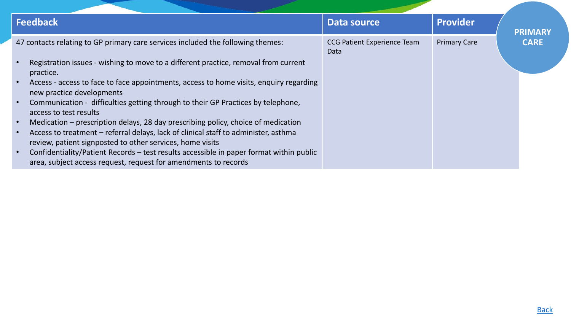| Feedback                                                                                                                                                                                                                                                                                                                                                                                                                                                                                                                                                                                                                                                                                                                                                                                                                                                                                         | Data source                                | <b>Provider</b>     | <b>PRIMARY</b> |
|--------------------------------------------------------------------------------------------------------------------------------------------------------------------------------------------------------------------------------------------------------------------------------------------------------------------------------------------------------------------------------------------------------------------------------------------------------------------------------------------------------------------------------------------------------------------------------------------------------------------------------------------------------------------------------------------------------------------------------------------------------------------------------------------------------------------------------------------------------------------------------------------------|--------------------------------------------|---------------------|----------------|
| 47 contacts relating to GP primary care services included the following themes:<br>Registration issues - wishing to move to a different practice, removal from current<br>$\bullet$<br>practice.<br>Access - access to face to face appointments, access to home visits, enquiry regarding<br>$\bullet$<br>new practice developments<br>Communication - difficulties getting through to their GP Practices by telephone,<br>$\bullet$<br>access to test results<br>Medication – prescription delays, 28 day prescribing policy, choice of medication<br>$\bullet$<br>Access to treatment – referral delays, lack of clinical staff to administer, asthma<br>review, patient signposted to other services, home visits<br>Confidentiality/Patient Records - test results accessible in paper format within public<br>$\bullet$<br>area, subject access request, request for amendments to records | <b>CCG Patient Experience Team</b><br>Data | <b>Primary Care</b> | <b>CARE</b>    |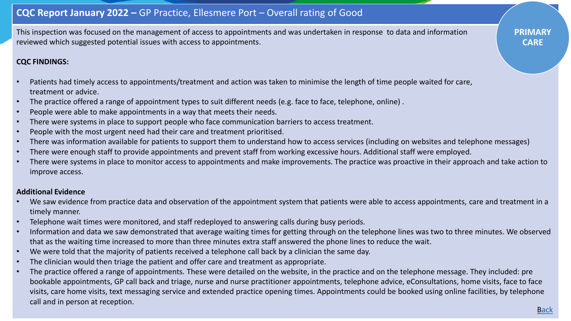# **CQC Report January 2022 –** GP Practice, Ellesmere Port – Overall rating of Good

This inspection was focused on the management of access to appointments and was undertaken in response to data and information reviewed which suggested potential issues with access to appointments.

### **CQC FINDINGS:**

- Patients had timely access to appointments/treatment and action was taken to minimise the length of time people waited for care, treatment or advice.
- The practice offered a range of appointment types to suit different needs (e.g. face to face, telephone, online) .
- People were able to make appointments in a way that meets their needs.
- There were systems in place to support people who face communication barriers to access treatment.
- People with the most urgent need had their care and treatment prioritised.
- There was information available for patients to support them to understand how to access services (including on websites and telephone messages)
- There were enough staff to provide appointments and prevent staff from working excessive hours. Additional staff were employed.
- There were systems in place to monitor access to appointments and make improvements. The practice was proactive in their approach and take action to improve access.

#### **Additional Evidence**

- We saw evidence from practice data and observation of the appointment system that patients were able to access appointments, care and treatment in a timely manner.
- Telephone wait times were monitored, and staff redeployed to answering calls during busy periods.
- Information and data we saw demonstrated that average waiting times for getting through on the telephone lines was two to three minutes. We observed that as the waiting time increased to more than three minutes extra staff answered the phone lines to reduce the wait.
- We were told that the majority of patients received a telephone call back by a clinician the same day.
- The clinician would then triage the patient and offer care and treatment as appropriate.
- The practice offered a range of appointments. These were detailed on the website, in the practice and on the telephone message. They included: pre bookable appointments, GP call back and triage, nurse and nurse practitioner appointments, telephone advice, eConsultations, home visits, face to face visits, care home visits, text messaging service and extended practice opening times. Appointments could be booked using online facilities, by telephone call and in person at reception.

**PRIMARY CARE**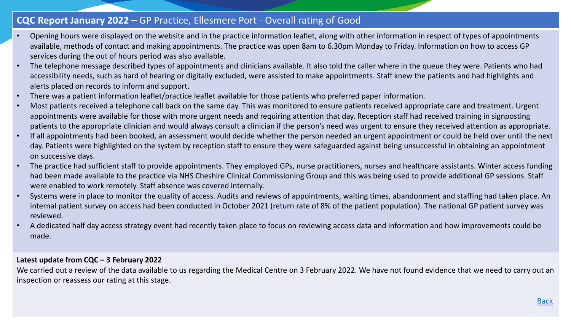# **CQC Report January 2022 –** GP Practice, Ellesmere Port - Overall rating of Good

- Opening hours were displayed on the website and in the practice information leaflet, along with other information in respect of types of appointments available, methods of contact and making appointments. The practice was open 8am to 6.30pm Monday to Friday. Information on how to access GP services during the out of hours period was also available.
- The telephone message described types of appointments and clinicians available. It also told the caller where in the queue they were. Patients who had accessibility needs, such as hard of hearing or digitally excluded, were assisted to make appointments. Staff knew the patients and had highlights and alerts placed on records to inform and support.
- There was a patient information leaflet/practice leaflet available for those patients who preferred paper information.
- Most patients received a telephone call back on the same day. This was monitored to ensure patients received appropriate care and treatment. Urgent appointments were available for those with more urgent needs and requiring attention that day. Reception staff had received training in signposting patients to the appropriate clinician and would always consult a clinician if the person's need was urgent to ensure they received attention as appropriate.
- If all appointments had been booked, an assessment would decide whether the person needed an urgent appointment or could be held over until the next day. Patients were highlighted on the system by reception staff to ensure they were safeguarded against being unsuccessful in obtaining an appointment on successive days.
- The practice had sufficient staff to provide appointments. They employed GPs, nurse practitioners, nurses and healthcare assistants. Winter access funding had been made available to the practice via NHS Cheshire Clinical Commissioning Group and this was being used to provide additional GP sessions. Staff were enabled to work remotely. Staff absence was covered internally.
- Systems were in place to monitor the quality of access. Audits and reviews of appointments, waiting times, abandonment and staffing had taken place. An internal patient survey on access had been conducted in October 2021 (return rate of 8% of the patient population). The national GP patient survey was reviewed.
- A dedicated half day access strategy event had recently taken place to focus on reviewing access data and information and how improvements could be made.

### **Latest update from CQC – 3 February 2022**

We carried out a review of the data available to us regarding the Medical Centre on 3 February 2022. We have not found evidence that we need to carry out an inspection or reassess our rating at this stage.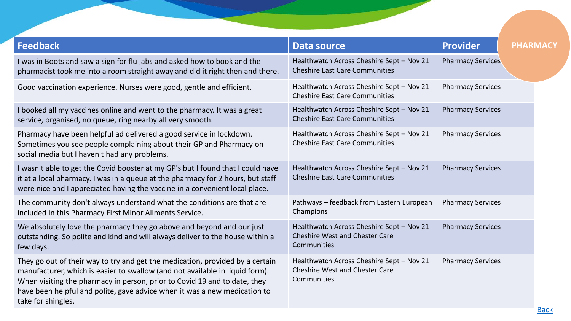<span id="page-14-0"></span>

| <b>Feedback</b>                                                                                                                                                                                                                                                                                                                               | <b>Data source</b>                                                                                | <b>Provider</b>          | <b>PHARMACY</b> |
|-----------------------------------------------------------------------------------------------------------------------------------------------------------------------------------------------------------------------------------------------------------------------------------------------------------------------------------------------|---------------------------------------------------------------------------------------------------|--------------------------|-----------------|
| I was in Boots and saw a sign for flu jabs and asked how to book and the<br>pharmacist took me into a room straight away and did it right then and there.                                                                                                                                                                                     | Healthwatch Across Cheshire Sept - Nov 21<br><b>Cheshire East Care Communities</b>                | <b>Pharmacy Services</b> |                 |
| Good vaccination experience. Nurses were good, gentle and efficient.                                                                                                                                                                                                                                                                          | Healthwatch Across Cheshire Sept - Nov 21<br><b>Cheshire East Care Communities</b>                | <b>Pharmacy Services</b> |                 |
| I booked all my vaccines online and went to the pharmacy. It was a great<br>service, organised, no queue, ring nearby all very smooth.                                                                                                                                                                                                        | Healthwatch Across Cheshire Sept - Nov 21<br><b>Cheshire East Care Communities</b>                | <b>Pharmacy Services</b> |                 |
| Pharmacy have been helpful ad delivered a good service in lockdown.<br>Sometimes you see people complaining about their GP and Pharmacy on<br>social media but I haven't had any problems.                                                                                                                                                    | Healthwatch Across Cheshire Sept - Nov 21<br><b>Cheshire East Care Communities</b>                | <b>Pharmacy Services</b> |                 |
| I wasn't able to get the Covid booster at my GP's but I found that I could have<br>it at a local pharmacy. I was in a queue at the pharmacy for 2 hours, but staff<br>were nice and I appreciated having the vaccine in a convenient local place.                                                                                             | Healthwatch Across Cheshire Sept - Nov 21<br><b>Cheshire East Care Communities</b>                | <b>Pharmacy Services</b> |                 |
| The community don't always understand what the conditions are that are<br>included in this Pharmacy First Minor Ailments Service.                                                                                                                                                                                                             | Pathways - feedback from Eastern European<br>Champions                                            | <b>Pharmacy Services</b> |                 |
| We absolutely love the pharmacy they go above and beyond and our just<br>outstanding. So polite and kind and will always deliver to the house within a<br>few days.                                                                                                                                                                           | Healthwatch Across Cheshire Sept - Nov 21<br><b>Cheshire West and Chester Care</b><br>Communities | <b>Pharmacy Services</b> |                 |
| They go out of their way to try and get the medication, provided by a certain<br>manufacturer, which is easier to swallow (and not available in liquid form).<br>When visiting the pharmacy in person, prior to Covid 19 and to date, they<br>have been helpful and polite, gave advice when it was a new medication to<br>take for shingles. | Healthwatch Across Cheshire Sept - Nov 21<br><b>Cheshire West and Chester Care</b><br>Communities | <b>Pharmacy Services</b> |                 |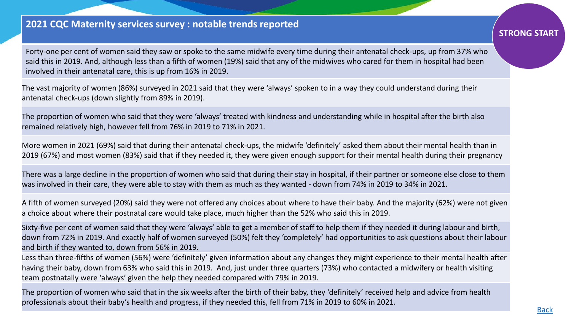# **2021 CQC Maternity services survey : notable trends reported**

Forty-one per cent of women said they saw or spoke to the same midwife every time during their antenatal check-ups, up from 37% who said this in 2019. And, although less than a fifth of women (19%) said that any of the midwives who cared for them in hospital had been involved in their antenatal care, this is up from 16% in 2019.

The vast majority of women (86%) surveyed in 2021 said that they were 'always' spoken to in a way they could understand during their antenatal check-ups (down slightly from 89% in 2019).

The proportion of women who said that they were 'always' treated with kindness and understanding while in hospital after the birth also remained relatively high, however fell from 76% in 2019 to 71% in 2021.

More women in 2021 (69%) said that during their antenatal check-ups, the midwife 'definitely' asked them about their mental health than in 2019 (67%) and most women (83%) said that if they needed it, they were given enough support for their mental health during their pregnancy

There was a large decline in the proportion of women who said that during their stay in hospital, if their partner or someone else close to them was involved in their care, they were able to stay with them as much as they wanted - down from 74% in 2019 to 34% in 2021.

A fifth of women surveyed (20%) said they were not offered any choices about where to have their baby. And the majority (62%) were not given a choice about where their postnatal care would take place, much higher than the 52% who said this in 2019.

Sixty-five per cent of women said that they were 'always' able to get a member of staff to help them if they needed it during labour and birth, down from 72% in 2019. And exactly half of women surveyed (50%) felt they 'completely' had opportunities to ask questions about their labour and birth if they wanted to, down from 56% in 2019.

Less than three-fifths of women (56%) were 'definitely' given information about any changes they might experience to their mental health after having their baby, down from 63% who said this in 2019. And, just under three quarters (73%) who contacted a midwifery or health visiting team postnatally were 'always' given the help they needed compared with 79% in 2019.

The proportion of women who said that in the six weeks after the birth of their baby, they 'definitely' received help and advice from health professionals about their baby's health and progress, if they needed this, fell from 71% in 2019 to 60% in 2021.

# **STRONG START**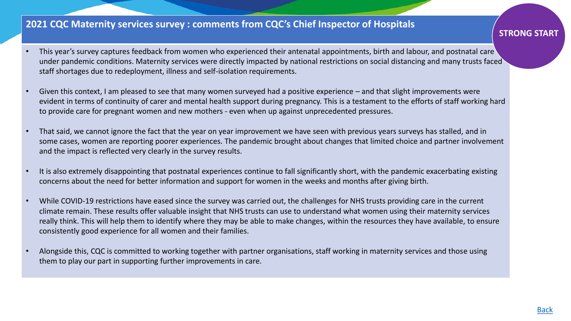# **2021 CQC Maternity services survey : comments from CQC's Chief Inspector of Hospitals**

- This year's survey captures feedback from women who experienced their antenatal appointments, birth and labour, and postnatal care under pandemic conditions. Maternity services were directly impacted by national restrictions on social distancing and many trusts faced staff shortages due to redeployment, illness and self-isolation requirements.
- Given this context, I am pleased to see that many women surveyed had a positive experience and that slight improvements were evident in terms of continuity of carer and mental health support during pregnancy. This is a testament to the efforts of staff working hard to provide care for pregnant women and new mothers - even when up against unprecedented pressures.
- That said, we cannot ignore the fact that the year on year improvement we have seen with previous years surveys has stalled, and in some cases, women are reporting poorer experiences. The pandemic brought about changes that limited choice and partner involvement and the impact is reflected very clearly in the survey results.
- It is also extremely disappointing that postnatal experiences continue to fall significantly short, with the pandemic exacerbating existing concerns about the need for better information and support for women in the weeks and months after giving birth.
- While COVID-19 restrictions have eased since the survey was carried out, the challenges for NHS trusts providing care in the current climate remain. These results offer valuable insight that NHS trusts can use to understand what women using their maternity services really think. This will help them to identify where they may be able to make changes, within the resources they have available, to ensure consistently good experience for all women and their families.
- Alongside this, CQC is committed to working together with partner organisations, staff working in maternity services and those using them to play our part in supporting further improvements in care.

### **STRONG START**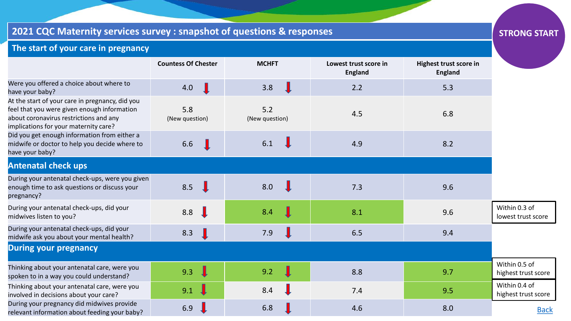# <span id="page-17-0"></span>**2021 CQC Maternity services survey : snapshot of questions & responses**

# **STRONG START**

# **The start of your care in pregnancy**

|                                                                                                                                                                                   | <b>Countess Of Chester</b>                                                        | <b>MCHFT</b>          | Lowest trust score in<br><b>England</b> | Highest trust score in<br><b>England</b> |                                      |
|-----------------------------------------------------------------------------------------------------------------------------------------------------------------------------------|-----------------------------------------------------------------------------------|-----------------------|-----------------------------------------|------------------------------------------|--------------------------------------|
| Were you offered a choice about where to<br>have your baby?                                                                                                                       | 4.0                                                                               | 3.8                   | 2.2                                     | 5.3                                      |                                      |
| At the start of your care in pregnancy, did you<br>feel that you were given enough information<br>about coronavirus restrictions and any<br>implications for your maternity care? | 5.8<br>(New question)                                                             | 5.2<br>(New question) | 4.5                                     | 6.8                                      |                                      |
| Did you get enough information from either a<br>midwife or doctor to help you decide where to<br>have your baby?                                                                  | 6.6                                                                               | 6.1                   | 4.9                                     | 8.2                                      |                                      |
| <b>Antenatal check ups</b>                                                                                                                                                        |                                                                                   |                       |                                         |                                          |                                      |
| During your antenatal check-ups, were you given<br>enough time to ask questions or discuss your<br>pregnancy?                                                                     | 8.5                                                                               | 8.0                   | 7.3                                     | 9.6                                      |                                      |
| During your antenatal check-ups, did your<br>midwives listen to you?                                                                                                              | 8.8<br>$\perp$                                                                    | 8.4                   | 8.1                                     | 9.6                                      | Within 0.3 of<br>lowest trust score  |
| During your antenatal check-ups, did your<br>midwife ask you about your mental health?                                                                                            | 8.3                                                                               | 7.9                   | 6.5                                     | 9.4                                      |                                      |
| <b>During your pregnancy</b>                                                                                                                                                      |                                                                                   |                       |                                         |                                          |                                      |
| Thinking about your antenatal care, were you<br>spoken to in a way you could understand?                                                                                          | $\mathbf{\mathbf{\mathbf{\mathbf{\mathbf{\mathbf{\mathbf{\mathbf{I}}}}}}}$<br>9.3 | 9.2                   | 8.8                                     | 9.7                                      | Within 0.5 of<br>highest trust score |
| Thinking about your antenatal care, were you<br>involved in decisions about your care?                                                                                            | 9.1                                                                               | 8.4                   | 7.4                                     | 9.5                                      | Within 0.4 of<br>highest trust score |
| During your pregnancy did midwives provide<br>relevant information about feeding your baby?                                                                                       | 6.9                                                                               | 6.8                   | 4.6                                     | 8.0                                      | <b>Back</b>                          |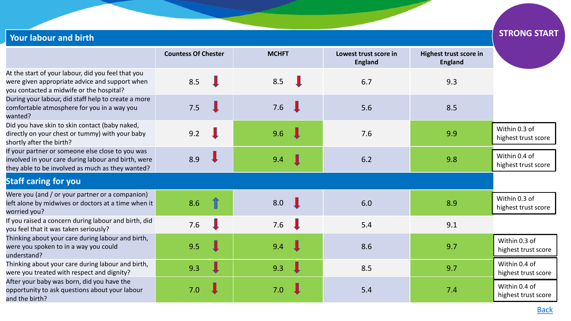| <b>Your labour and birth</b>                                                                                                                                |                            |              |                                         |                                          | <b>STRONG START</b>                  |
|-------------------------------------------------------------------------------------------------------------------------------------------------------------|----------------------------|--------------|-----------------------------------------|------------------------------------------|--------------------------------------|
|                                                                                                                                                             | <b>Countess Of Chester</b> | <b>MCHFT</b> | Lowest trust score in<br><b>England</b> | Highest trust score in<br><b>England</b> |                                      |
| At the start of your labour, did you feel that you<br>were given appropriate advice and support when<br>you contacted a midwife or the hospital?            | 8.5                        | 8.5          | 6.7                                     | 9.3                                      |                                      |
| During your labour, did staff help to create a more<br>comfortable atmosphere for you in a way you<br>wanted?                                               | 7.5                        | 7.6          | 5.6                                     | 8.5                                      |                                      |
| Did you have skin to skin contact (baby naked,<br>directly on your chest or tummy) with your baby<br>shortly after the birth?                               | 9.2                        | 9.6          | 7.6                                     | 9.9                                      | Within 0.3 of<br>highest trust score |
| If your partner or someone else close to you was<br>involved in your care during labour and birth, were<br>they able to be involved as much as they wanted? | 8.9                        | 9.4          | 6.2                                     | 9.8                                      | Within 0.4 of<br>highest trust score |
| <b>Staff caring for you</b>                                                                                                                                 |                            |              |                                         |                                          |                                      |
| Were you (and / or your partner or a companion)<br>left alone by midwives or doctors at a time when it<br>worried you?                                      | 8.6                        | 8.0          | 6.0                                     | 8.9                                      | Within 0.3 of<br>highest trust score |
| If you raised a concern during labour and birth, did<br>you feel that it was taken seriously?                                                               | 7.6                        | 7.6          | 5.4                                     | 9.1                                      |                                      |
| Thinking about your care during labour and birth,<br>were you spoken to in a way you could<br>understand?                                                   | 9.5                        | 9.4          | 8.6                                     | 9.7                                      | Within 0.3 of<br>highest trust score |
| Thinking about your care during labour and birth,<br>were you treated with respect and dignity?                                                             | 9.3                        | 9.3          | 8.5                                     | 9.7                                      | Within 0.4 of<br>highest trust score |
| After your baby was born, did you have the<br>opportunity to ask questions about your labour<br>and the birth?                                              | 7.0                        | 7.0          | 5.4                                     | 7.4                                      | Within 0.4 of<br>highest trust score |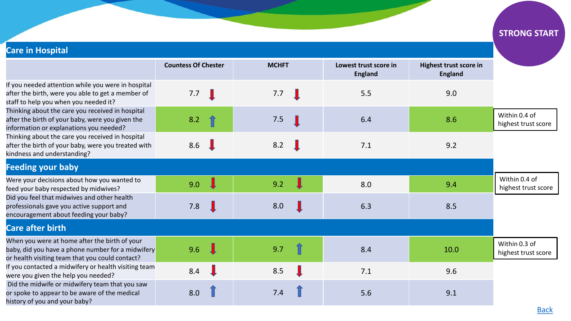# **Care in Hospital**

|                                                                                                                                                       | <b>Countess Of Chester</b> | <b>MCHFT</b> | Lowest trust score in<br><b>England</b> | Highest trust score in<br><b>England</b> |
|-------------------------------------------------------------------------------------------------------------------------------------------------------|----------------------------|--------------|-----------------------------------------|------------------------------------------|
| If you needed attention while you were in hospital<br>after the birth, were you able to get a member of<br>staff to help you when you needed it?      | 7.7                        | 7.7          | 5.5                                     | 9.0                                      |
| Thinking about the care you received in hospital<br>after the birth of your baby, were you given the<br>information or explanations you needed?       | 8.2                        | 7.5          | 6.4                                     | 8.6                                      |
| Thinking about the care you received in hospital<br>after the birth of your baby, were you treated with<br>kindness and understanding?                | 8.6                        | 8.2          | 7.1                                     | 9.2                                      |
| <b>Feeding your baby</b>                                                                                                                              |                            |              |                                         |                                          |
| Were your decisions about how you wanted to<br>feed your baby respected by midwives?                                                                  | 9.0                        | 9.2          | 8.0                                     | 9.4                                      |
| Did you feel that midwives and other health<br>professionals gave you active support and<br>encouragement about feeding your baby?                    | 7.8                        | 8.0          | 6.3                                     | 8.5                                      |
| <b>Care after birth</b>                                                                                                                               |                            |              |                                         |                                          |
| When you were at home after the birth of your<br>baby, did you have a phone number for a midwifery<br>or health visiting team that you could contact? | 9.6                        | 9.7          | 8.4                                     | 10.0                                     |
| If you contacted a midwifery or health visiting team<br>were you given the help you needed?                                                           | 8.4                        | 8.5          | 7.1                                     | 9.6                                      |
| Did the midwife or midwifery team that you saw<br>or spoke to appear to be aware of the medical<br>history of you and your baby?                      | 8.0                        | 7.4          | 5.6                                     | 9.1                                      |

# **STRONG START**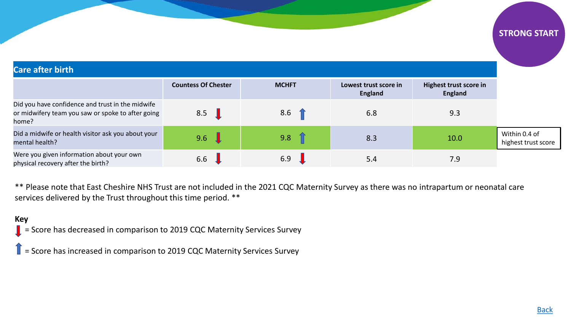## **Care after birth**

|                                                                                                                | <b>Countess Of Chester</b> | <b>MCHFT</b> | Lowest trust score in<br>England | Highest trust score in<br><b>England</b> |                                      |
|----------------------------------------------------------------------------------------------------------------|----------------------------|--------------|----------------------------------|------------------------------------------|--------------------------------------|
| Did you have confidence and trust in the midwife<br>or midwifery team you saw or spoke to after going<br>home? | 8.5                        | 8.6          | 6.8                              | 9.3                                      |                                      |
| Did a midwife or health visitor ask you about your<br>mental health?                                           | 9.6                        | 9.8          | 8.3                              | 10.0                                     | Within 0.4 of<br>highest trust score |
| Were you given information about your own<br>physical recovery after the birth?                                | 6.6                        | 6.9          | 5.4                              | 7.9                                      |                                      |

\*\* Please note that East Cheshire NHS Trust are not included in the 2021 CQC Maternity Survey as there was no intrapartum or neonatal care services delivered by the Trust throughout this time period. \*\*

## **Key**

 $\blacksquare$  = Score has decreased in comparison to 2019 CQC Maternity Services Survey

 $\blacksquare$  = Score has increased in comparison to 2019 CQC Maternity Services Survey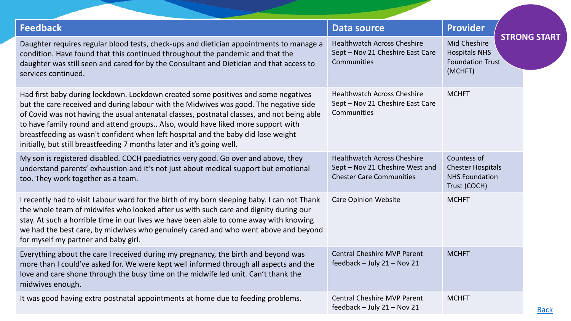| <b>Feedback</b>                                                                                                                                                                                                                                                                                                                                                                                                                                                                                                             | Data source                                                                                              | <b>Provider</b><br><b>STRONG START</b>                                            |  |
|-----------------------------------------------------------------------------------------------------------------------------------------------------------------------------------------------------------------------------------------------------------------------------------------------------------------------------------------------------------------------------------------------------------------------------------------------------------------------------------------------------------------------------|----------------------------------------------------------------------------------------------------------|-----------------------------------------------------------------------------------|--|
| Daughter requires regular blood tests, check-ups and dietician appointments to manage a<br>condition. Have found that this continued throughout the pandemic and that the<br>daughter was still seen and cared for by the Consultant and Dietician and that access to<br>services continued.                                                                                                                                                                                                                                | <b>Healthwatch Across Cheshire</b><br>Sept - Nov 21 Cheshire East Care<br>Communities                    | <b>Mid Cheshire</b><br><b>Hospitals NHS</b><br><b>Foundation Trust</b><br>(MCHFT) |  |
| Had first baby during lockdown. Lockdown created some positives and some negatives<br>but the care received and during labour with the Midwives was good. The negative side<br>of Covid was not having the usual antenatal classes, postnatal classes, and not being able<br>to have family round and attend groups Also, would have liked more support with<br>breastfeeding as wasn't confident when left hospital and the baby did lose weight<br>initially, but still breastfeeding 7 months later and it's going well. | <b>Healthwatch Across Cheshire</b><br>Sept - Nov 21 Cheshire East Care<br>Communities                    | <b>MCHFT</b>                                                                      |  |
| My son is registered disabled. COCH paediatrics very good. Go over and above, they<br>understand parents' exhaustion and it's not just about medical support but emotional<br>too. They work together as a team.                                                                                                                                                                                                                                                                                                            | <b>Healthwatch Across Cheshire</b><br>Sept - Nov 21 Cheshire West and<br><b>Chester Care Communities</b> | Countess of<br><b>Chester Hospitals</b><br><b>NHS Foundation</b><br>Trust (COCH)  |  |
| I recently had to visit Labour ward for the birth of my born sleeping baby. I can not Thank<br>the whole team of midwifes who looked after us with such care and dignity during our<br>stay. At such a horrible time in our lives we have been able to come away with knowing<br>we had the best care, by midwives who genuinely cared and who went above and beyond<br>for myself my partner and baby girl.                                                                                                                | <b>Care Opinion Website</b>                                                                              | <b>MCHFT</b>                                                                      |  |
| Everything about the care I received during my pregnancy, the birth and beyond was<br>more than I could've asked for. We were kept well informed through all aspects and the<br>love and care shone through the busy time on the midwife led unit. Can't thank the<br>midwives enough.                                                                                                                                                                                                                                      | <b>Central Cheshire MVP Parent</b><br>feedback - July 21 - Nov 21                                        | <b>MCHFT</b>                                                                      |  |
| It was good having extra postnatal appointments at home due to feeding problems.                                                                                                                                                                                                                                                                                                                                                                                                                                            | <b>Central Cheshire MVP Parent</b><br>feedback - July 21 - Nov 21                                        | <b>MCHFT</b>                                                                      |  |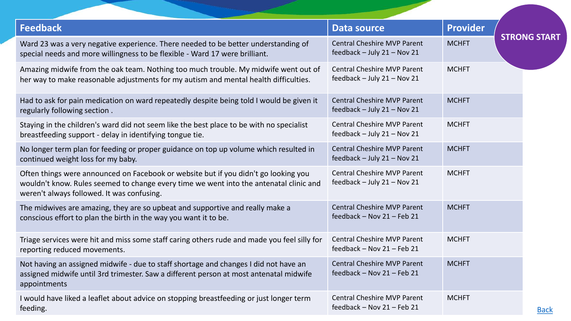| <b>Feedback</b>                                                                                                                                                                                                             | <b>Data source</b>                                                    | <b>Provider</b> |                     |
|-----------------------------------------------------------------------------------------------------------------------------------------------------------------------------------------------------------------------------|-----------------------------------------------------------------------|-----------------|---------------------|
| Ward 23 was a very negative experience. There needed to be better understanding of<br>special needs and more willingness to be flexible - Ward 17 were brilliant.                                                           | <b>Central Cheshire MVP Parent</b><br>feedback - July 21 - Nov 21     | <b>MCHFT</b>    | <b>STRONG START</b> |
| Amazing midwife from the oak team. Nothing too much trouble. My midwife went out of<br>her way to make reasonable adjustments for my autism and mental health difficulties.                                                 | <b>Central Cheshire MVP Parent</b><br>feedback - July 21 - Nov 21     | <b>MCHFT</b>    |                     |
| Had to ask for pain medication on ward repeatedly despite being told I would be given it<br>regularly following section.                                                                                                    | <b>Central Cheshire MVP Parent</b><br>feedback $-$ July 21 $-$ Nov 21 | <b>MCHFT</b>    |                     |
| Staying in the children's ward did not seem like the best place to be with no specialist<br>breastfeeding support - delay in identifying tongue tie.                                                                        | <b>Central Cheshire MVP Parent</b><br>feedback $-$ July 21 $-$ Nov 21 | <b>MCHFT</b>    |                     |
| No longer term plan for feeding or proper guidance on top up volume which resulted in<br>continued weight loss for my baby.                                                                                                 | <b>Central Cheshire MVP Parent</b><br>feedback - July 21 - Nov 21     | <b>MCHFT</b>    |                     |
| Often things were announced on Facebook or website but if you didn't go looking you<br>wouldn't know. Rules seemed to change every time we went into the antenatal clinic and<br>weren't always followed. It was confusing. | <b>Central Cheshire MVP Parent</b><br>feedback $-$ July 21 $-$ Nov 21 | <b>MCHFT</b>    |                     |
| The midwives are amazing, they are so upbeat and supportive and really make a<br>conscious effort to plan the birth in the way you want it to be.                                                                           | <b>Central Cheshire MVP Parent</b><br>feedback - Nov 21 - Feb 21      | <b>MCHFT</b>    |                     |
| Triage services were hit and miss some staff caring others rude and made you feel silly for<br>reporting reduced movements.                                                                                                 | <b>Central Cheshire MVP Parent</b><br>feedback - Nov 21 - Feb 21      | <b>MCHFT</b>    |                     |
| Not having an assigned midwife - due to staff shortage and changes I did not have an<br>assigned midwife until 3rd trimester. Saw a different person at most antenatal midwife<br>appointments                              | <b>Central Cheshire MVP Parent</b><br>feedback - Nov 21 - Feb 21      | <b>MCHFT</b>    |                     |
| I would have liked a leaflet about advice on stopping breastfeeding or just longer term<br>feeding.                                                                                                                         | <b>Central Cheshire MVP Parent</b><br>feedback - Nov 21 - Feb 21      | <b>MCHFT</b>    | <b>Back</b>         |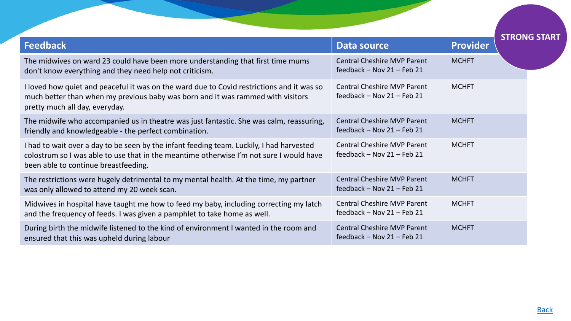| <b>Feedback</b>                                                                                                                                                                                                             | <b>Data source</b>                                                   | <b>Provider</b> | <b>STRONG START</b> |
|-----------------------------------------------------------------------------------------------------------------------------------------------------------------------------------------------------------------------------|----------------------------------------------------------------------|-----------------|---------------------|
| The midwives on ward 23 could have been more understanding that first time mums<br>don't know everything and they need help not criticism.                                                                                  | <b>Central Cheshire MVP Parent</b><br>feedback - Nov 21 - Feb 21     | <b>MCHFT</b>    |                     |
| I loved how quiet and peaceful it was on the ward due to Covid restrictions and it was so<br>much better than when my previous baby was born and it was rammed with visitors<br>pretty much all day, everyday.              | <b>Central Cheshire MVP Parent</b><br>feedback - Nov $21$ - Feb 21   | <b>MCHFT</b>    |                     |
| The midwife who accompanied us in theatre was just fantastic. She was calm, reassuring,<br>friendly and knowledgeable - the perfect combination.                                                                            | <b>Central Cheshire MVP Parent</b><br>feedback $-$ Nov 21 $-$ Feb 21 | <b>MCHFT</b>    |                     |
| I had to wait over a day to be seen by the infant feeding team. Luckily, I had harvested<br>colostrum so I was able to use that in the meantime otherwise I'm not sure I would have<br>been able to continue breastfeeding. | <b>Central Cheshire MVP Parent</b><br>feedback $-$ Nov 21 $-$ Feb 21 | <b>MCHFT</b>    |                     |
| The restrictions were hugely detrimental to my mental health. At the time, my partner<br>was only allowed to attend my 20 week scan.                                                                                        | <b>Central Cheshire MVP Parent</b><br>feedback $-$ Nov 21 $-$ Feb 21 | <b>MCHFT</b>    |                     |
| Midwives in hospital have taught me how to feed my baby, including correcting my latch<br>and the frequency of feeds. I was given a pamphlet to take home as well.                                                          | <b>Central Cheshire MVP Parent</b><br>feedback - Nov 21 - Feb 21     | <b>MCHFT</b>    |                     |
| During birth the midwife listened to the kind of environment I wanted in the room and<br>ensured that this was upheld during labour                                                                                         | <b>Central Cheshire MVP Parent</b><br>feedback - Nov $21$ - Feb 21   | <b>MCHFT</b>    |                     |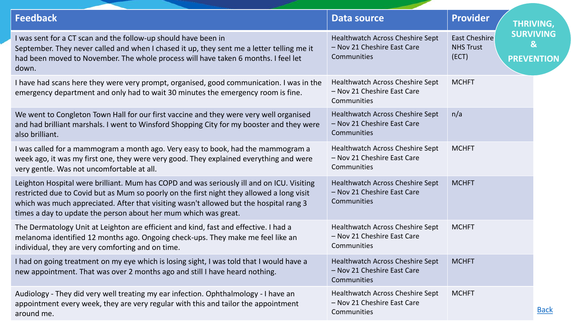<span id="page-24-0"></span>

| <b>Feedback</b>                                                                                                                                                                                                                                                                                                                                     | Data source                                                                    | <b>Provider</b>                                   | THRIVING,                                             |
|-----------------------------------------------------------------------------------------------------------------------------------------------------------------------------------------------------------------------------------------------------------------------------------------------------------------------------------------------------|--------------------------------------------------------------------------------|---------------------------------------------------|-------------------------------------------------------|
| I was sent for a CT scan and the follow-up should have been in<br>September. They never called and when I chased it up, they sent me a letter telling me it<br>had been moved to November. The whole process will have taken 6 months. I feel let<br>down.                                                                                          | Healthwatch Across Cheshire Sept<br>- Nov 21 Cheshire East Care<br>Communities | <b>East Cheshire</b><br><b>NHS Trust</b><br>(ECT) | <b>SURVIVING</b><br>$\mathbf{g}$<br><b>PREVENTION</b> |
| I have had scans here they were very prompt, organised, good communication. I was in the<br>emergency department and only had to wait 30 minutes the emergency room is fine.                                                                                                                                                                        | Healthwatch Across Cheshire Sept<br>- Nov 21 Cheshire East Care<br>Communities | <b>MCHFT</b>                                      |                                                       |
| We went to Congleton Town Hall for our first vaccine and they were very well organised<br>and had brilliant marshals. I went to Winsford Shopping City for my booster and they were<br>also brilliant.                                                                                                                                              | Healthwatch Across Cheshire Sept<br>- Nov 21 Cheshire East Care<br>Communities | n/a                                               |                                                       |
| I was called for a mammogram a month ago. Very easy to book, had the mammogram a<br>week ago, it was my first one, they were very good. They explained everything and were<br>very gentle. Was not uncomfortable at all.                                                                                                                            | Healthwatch Across Cheshire Sept<br>- Nov 21 Cheshire East Care<br>Communities | <b>MCHFT</b>                                      |                                                       |
| Leighton Hospital were brilliant. Mum has COPD and was seriously ill and on ICU. Visiting<br>restricted due to Covid but as Mum so poorly on the first night they allowed a long visit<br>which was much appreciated. After that visiting wasn't allowed but the hospital rang 3<br>times a day to update the person about her mum which was great. | Healthwatch Across Cheshire Sept<br>- Nov 21 Cheshire East Care<br>Communities | <b>MCHFT</b>                                      |                                                       |
| The Dermatology Unit at Leighton are efficient and kind, fast and effective. I had a<br>melanoma identified 12 months ago. Ongoing check-ups. They make me feel like an<br>individual, they are very comforting and on time.                                                                                                                        | Healthwatch Across Cheshire Sept<br>- Nov 21 Cheshire East Care<br>Communities | <b>MCHFT</b>                                      |                                                       |
| I had on going treatment on my eye which is losing sight, I was told that I would have a<br>new appointment. That was over 2 months ago and still I have heard nothing.                                                                                                                                                                             | Healthwatch Across Cheshire Sept<br>- Nov 21 Cheshire East Care<br>Communities | <b>MCHFT</b>                                      |                                                       |
| Audiology - They did very well treating my ear infection. Ophthalmology - I have an<br>appointment every week, they are very regular with this and tailor the appointment<br>around me.                                                                                                                                                             | Healthwatch Across Cheshire Sept<br>- Nov 21 Cheshire East Care<br>Communities | <b>MCHFT</b>                                      | <b>Back</b>                                           |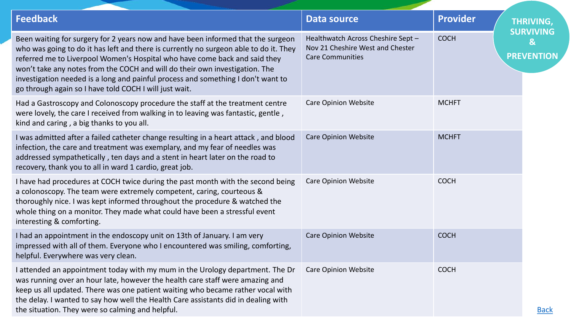| <b>Feedback</b>                                                                                                                                                                                                                                                                                                                                                                                                                                                                      | <b>Data source</b>                                                                                | <b>Provider</b> | THRIVING,                                             |
|--------------------------------------------------------------------------------------------------------------------------------------------------------------------------------------------------------------------------------------------------------------------------------------------------------------------------------------------------------------------------------------------------------------------------------------------------------------------------------------|---------------------------------------------------------------------------------------------------|-----------------|-------------------------------------------------------|
| Been waiting for surgery for 2 years now and have been informed that the surgeon<br>who was going to do it has left and there is currently no surgeon able to do it. They<br>referred me to Liverpool Women's Hospital who have come back and said they<br>won't take any notes from the COCH and will do their own investigation. The<br>investigation needed is a long and painful process and something I don't want to<br>go through again so I have told COCH I will just wait. | Healthwatch Across Cheshire Sept -<br>Nov 21 Cheshire West and Chester<br><b>Care Communities</b> | <b>COCH</b>     | <b>SURVIVING</b><br>$\mathbf{g}$<br><b>PREVENTION</b> |
| Had a Gastroscopy and Colonoscopy procedure the staff at the treatment centre<br>were lovely, the care I received from walking in to leaving was fantastic, gentle,<br>kind and caring, a big thanks to you all.                                                                                                                                                                                                                                                                     | <b>Care Opinion Website</b>                                                                       | <b>MCHFT</b>    |                                                       |
| I was admitted after a failed catheter change resulting in a heart attack, and blood<br>infection, the care and treatment was exemplary, and my fear of needles was<br>addressed sympathetically, ten days and a stent in heart later on the road to<br>recovery, thank you to all in ward 1 cardio, great job.                                                                                                                                                                      | <b>Care Opinion Website</b>                                                                       | <b>MCHFT</b>    |                                                       |
| I have had procedures at COCH twice during the past month with the second being<br>a colonoscopy. The team were extremely competent, caring, courteous &<br>thoroughly nice. I was kept informed throughout the procedure & watched the<br>whole thing on a monitor. They made what could have been a stressful event<br>interesting & comforting.                                                                                                                                   | <b>Care Opinion Website</b>                                                                       | <b>COCH</b>     |                                                       |
| I had an appointment in the endoscopy unit on 13th of January. I am very<br>impressed with all of them. Everyone who I encountered was smiling, comforting,<br>helpful. Everywhere was very clean.                                                                                                                                                                                                                                                                                   | <b>Care Opinion Website</b>                                                                       | <b>COCH</b>     |                                                       |
| I attended an appointment today with my mum in the Urology department. The Dr<br>was running over an hour late, however the health care staff were amazing and<br>keep us all updated. There was one patient waiting who became rather vocal with<br>the delay. I wanted to say how well the Health Care assistants did in dealing with<br>the situation. They were so calming and helpful.                                                                                          | <b>Care Opinion Website</b>                                                                       | <b>COCH</b>     | <b>Back</b>                                           |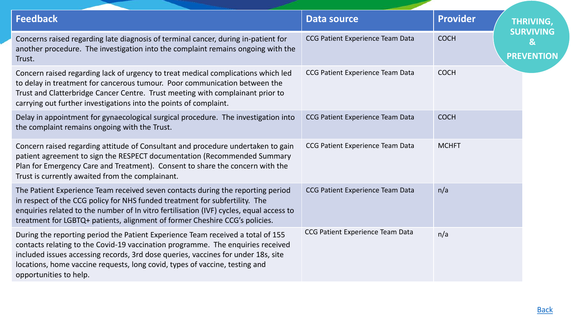| <b>Feedback</b>                                                                                                                                                                                                                                                                                                                                                  | Data source                      | <b>Provider</b> | <b>THRIVING,</b>                                      |
|------------------------------------------------------------------------------------------------------------------------------------------------------------------------------------------------------------------------------------------------------------------------------------------------------------------------------------------------------------------|----------------------------------|-----------------|-------------------------------------------------------|
| Concerns raised regarding late diagnosis of terminal cancer, during in-patient for<br>another procedure. The investigation into the complaint remains ongoing with the<br>Trust.                                                                                                                                                                                 | CCG Patient Experience Team Data | <b>COCH</b>     | <b>SURVIVING</b><br>$\mathbf{g}$<br><b>PREVENTION</b> |
| Concern raised regarding lack of urgency to treat medical complications which led<br>to delay in treatment for cancerous tumour. Poor communication between the<br>Trust and Clatterbridge Cancer Centre. Trust meeting with complainant prior to<br>carrying out further investigations into the points of complaint.                                           | CCG Patient Experience Team Data | <b>COCH</b>     |                                                       |
| Delay in appointment for gynaecological surgical procedure. The investigation into<br>the complaint remains ongoing with the Trust.                                                                                                                                                                                                                              | CCG Patient Experience Team Data | <b>COCH</b>     |                                                       |
| Concern raised regarding attitude of Consultant and procedure undertaken to gain<br>patient agreement to sign the RESPECT documentation (Recommended Summary<br>Plan for Emergency Care and Treatment). Consent to share the concern with the<br>Trust is currently awaited from the complainant.                                                                | CCG Patient Experience Team Data | <b>MCHFT</b>    |                                                       |
| The Patient Experience Team received seven contacts during the reporting period<br>in respect of the CCG policy for NHS funded treatment for subfertility. The<br>enquiries related to the number of In vitro fertilisation (IVF) cycles, equal access to<br>treatment for LGBTQ+ patients, alignment of former Cheshire CCG's policies.                         | CCG Patient Experience Team Data | n/a             |                                                       |
| During the reporting period the Patient Experience Team received a total of 155<br>contacts relating to the Covid-19 vaccination programme. The enquiries received<br>included issues accessing records, 3rd dose queries, vaccines for under 18s, site<br>locations, home vaccine requests, long covid, types of vaccine, testing and<br>opportunities to help. | CCG Patient Experience Team Data | n/a             |                                                       |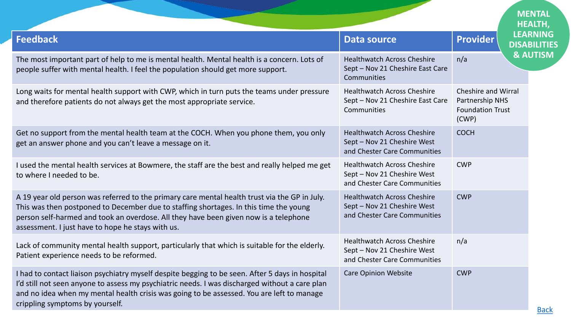<span id="page-27-0"></span>

|                                                                                                                                                                                                                                                                                                                                     |                                                                                                   |                                                                            | <b>MENTAL</b><br><b>HEALTH,</b> |
|-------------------------------------------------------------------------------------------------------------------------------------------------------------------------------------------------------------------------------------------------------------------------------------------------------------------------------------|---------------------------------------------------------------------------------------------------|----------------------------------------------------------------------------|---------------------------------|
| <b>Feedback</b>                                                                                                                                                                                                                                                                                                                     | <b>Data source</b>                                                                                | <b>Provider</b><br><b>DISABILITIES</b>                                     | <b>LEARNING</b>                 |
| The most important part of help to me is mental health. Mental health is a concern. Lots of<br>people suffer with mental health. I feel the population should get more support.                                                                                                                                                     | <b>Healthwatch Across Cheshire</b><br>Sept - Nov 21 Cheshire East Care<br>Communities             | n/a                                                                        | <b>&amp; AUTISM</b>             |
| Long waits for mental health support with CWP, which in turn puts the teams under pressure<br>and therefore patients do not always get the most appropriate service.                                                                                                                                                                | <b>Healthwatch Across Cheshire</b><br>Sept - Nov 21 Cheshire East Care<br>Communities             | Cheshire and Wirral<br>Partnership NHS<br><b>Foundation Trust</b><br>(CWP) |                                 |
| Get no support from the mental health team at the COCH. When you phone them, you only<br>get an answer phone and you can't leave a message on it.                                                                                                                                                                                   | <b>Healthwatch Across Cheshire</b><br>Sept - Nov 21 Cheshire West<br>and Chester Care Communities | <b>COCH</b>                                                                |                                 |
| I used the mental health services at Bowmere, the staff are the best and really helped me get<br>to where I needed to be.                                                                                                                                                                                                           | <b>Healthwatch Across Cheshire</b><br>Sept - Nov 21 Cheshire West<br>and Chester Care Communities | <b>CWP</b>                                                                 |                                 |
| A 19 year old person was referred to the primary care mental health trust via the GP in July.<br>This was then postponed to December due to staffing shortages. In this time the young<br>person self-harmed and took an overdose. All they have been given now is a telephone<br>assessment. I just have to hope he stays with us. | <b>Healthwatch Across Cheshire</b><br>Sept - Nov 21 Cheshire West<br>and Chester Care Communities | <b>CWP</b>                                                                 |                                 |
| Lack of community mental health support, particularly that which is suitable for the elderly.<br>Patient experience needs to be reformed.                                                                                                                                                                                           | <b>Healthwatch Across Cheshire</b><br>Sept - Nov 21 Cheshire West<br>and Chester Care Communities | n/a                                                                        |                                 |
| I had to contact liaison psychiatry myself despite begging to be seen. After 5 days in hospital<br>I'd still not seen anyone to assess my psychiatric needs. I was discharged without a care plan<br>and no idea when my mental health crisis was going to be assessed. You are left to manage<br>crippling symptoms by yourself.   | <b>Care Opinion Website</b>                                                                       | <b>CWP</b>                                                                 | <b>Back</b>                     |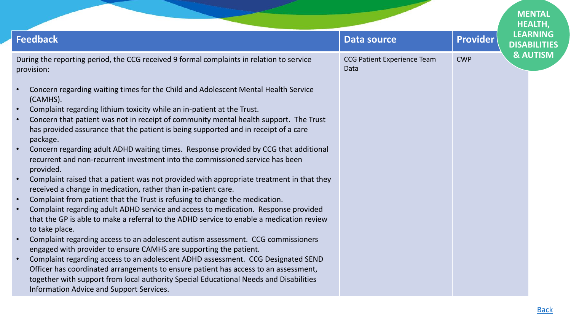|                                                                                                                                                                                                                                                                                                                                                                                                                                                                                                                                                                                                                                                                                                                                                                                                                                                                                                                                                                                                                                                                                                                                                                                                                                                                                                                                                                                                                                                                                                                                                                   |                                            |                 | <b>MENTAL</b><br><b>HEALTH,</b>        |
|-------------------------------------------------------------------------------------------------------------------------------------------------------------------------------------------------------------------------------------------------------------------------------------------------------------------------------------------------------------------------------------------------------------------------------------------------------------------------------------------------------------------------------------------------------------------------------------------------------------------------------------------------------------------------------------------------------------------------------------------------------------------------------------------------------------------------------------------------------------------------------------------------------------------------------------------------------------------------------------------------------------------------------------------------------------------------------------------------------------------------------------------------------------------------------------------------------------------------------------------------------------------------------------------------------------------------------------------------------------------------------------------------------------------------------------------------------------------------------------------------------------------------------------------------------------------|--------------------------------------------|-----------------|----------------------------------------|
| <b>Feedback</b>                                                                                                                                                                                                                                                                                                                                                                                                                                                                                                                                                                                                                                                                                                                                                                                                                                                                                                                                                                                                                                                                                                                                                                                                                                                                                                                                                                                                                                                                                                                                                   | <b>Data source</b>                         | <b>Provider</b> | <b>LEARNING</b><br><b>DISABILITIES</b> |
| During the reporting period, the CCG received 9 formal complaints in relation to service<br>provision:                                                                                                                                                                                                                                                                                                                                                                                                                                                                                                                                                                                                                                                                                                                                                                                                                                                                                                                                                                                                                                                                                                                                                                                                                                                                                                                                                                                                                                                            | <b>CCG Patient Experience Team</b><br>Data | <b>CWP</b>      | <b>&amp; AUTISM</b>                    |
| Concern regarding waiting times for the Child and Adolescent Mental Health Service<br>$\bullet$<br>(CAMHS).<br>Complaint regarding lithium toxicity while an in-patient at the Trust.<br>Concern that patient was not in receipt of community mental health support. The Trust<br>$\bullet$<br>has provided assurance that the patient is being supported and in receipt of a care<br>package.<br>Concern regarding adult ADHD waiting times. Response provided by CCG that additional<br>recurrent and non-recurrent investment into the commissioned service has been<br>provided.<br>Complaint raised that a patient was not provided with appropriate treatment in that they<br>$\bullet$<br>received a change in medication, rather than in-patient care.<br>Complaint from patient that the Trust is refusing to change the medication.<br>$\bullet$<br>Complaint regarding adult ADHD service and access to medication. Response provided<br>that the GP is able to make a referral to the ADHD service to enable a medication review<br>to take place.<br>Complaint regarding access to an adolescent autism assessment. CCG commissioners<br>$\bullet$<br>engaged with provider to ensure CAMHS are supporting the patient.<br>Complaint regarding access to an adolescent ADHD assessment. CCG Designated SEND<br>$\bullet$<br>Officer has coordinated arrangements to ensure patient has access to an assessment,<br>together with support from local authority Special Educational Needs and Disabilities<br>Information Advice and Support Services. |                                            |                 |                                        |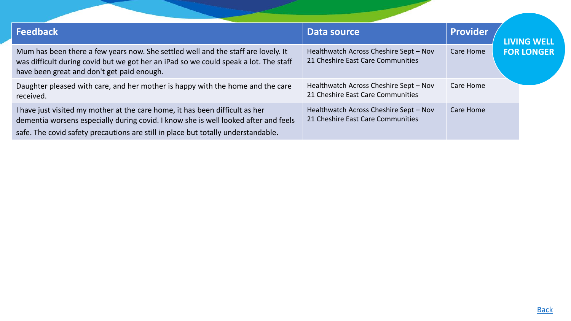<span id="page-29-0"></span>

| <b>Feedback</b>                                                                                                                                                                                                                                          | Data source                                                                 | Provider  | <b>LIVING WELL</b> |
|----------------------------------------------------------------------------------------------------------------------------------------------------------------------------------------------------------------------------------------------------------|-----------------------------------------------------------------------------|-----------|--------------------|
| Mum has been there a few years now. She settled well and the staff are lovely. It<br>was difficult during covid but we got her an iPad so we could speak a lot. The staff<br>have been great and don't get paid enough.                                  | Healthwatch Across Cheshire Sept - Nov<br>21 Cheshire East Care Communities | Care Home | <b>FOR LONGER</b>  |
| Daughter pleased with care, and her mother is happy with the home and the care<br>received.                                                                                                                                                              | Healthwatch Across Cheshire Sept - Nov<br>21 Cheshire East Care Communities | Care Home |                    |
| I have just visited my mother at the care home, it has been difficult as her<br>dementia worsens especially during covid. I know she is well looked after and feels<br>safe. The covid safety precautions are still in place but totally understandable. | Healthwatch Across Cheshire Sept - Nov<br>21 Cheshire East Care Communities | Care Home |                    |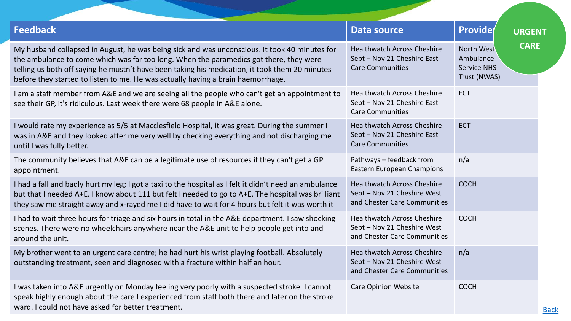| <b>Feedback</b>                                                                                                                                                                                                                                                                                                                                                               | <b>Data source</b>                                                                                | <b>Provide</b><br><b>URGENT</b>                                              |
|-------------------------------------------------------------------------------------------------------------------------------------------------------------------------------------------------------------------------------------------------------------------------------------------------------------------------------------------------------------------------------|---------------------------------------------------------------------------------------------------|------------------------------------------------------------------------------|
| My husband collapsed in August, he was being sick and was unconscious. It took 40 minutes for<br>the ambulance to come which was far too long. When the paramedics got there, they were<br>telling us both off saying he mustn't have been taking his medication, it took them 20 minutes<br>before they started to listen to me. He was actually having a brain haemorrhage. | <b>Healthwatch Across Cheshire</b><br>Sept - Nov 21 Cheshire East<br><b>Care Communities</b>      | <b>CARE</b><br>North West<br>Ambulance<br><b>Service NHS</b><br>Trust (NWAS) |
| I am a staff member from A&E and we are seeing all the people who can't get an appointment to<br>see their GP, it's ridiculous. Last week there were 68 people in A&E alone.                                                                                                                                                                                                  | <b>Healthwatch Across Cheshire</b><br>Sept - Nov 21 Cheshire East<br><b>Care Communities</b>      | <b>ECT</b>                                                                   |
| I would rate my experience as 5/5 at Macclesfield Hospital, it was great. During the summer I<br>was in A&E and they looked after me very well by checking everything and not discharging me<br>until I was fully better.                                                                                                                                                     | <b>Healthwatch Across Cheshire</b><br>Sept - Nov 21 Cheshire East<br><b>Care Communities</b>      | <b>ECT</b>                                                                   |
| The community believes that A&E can be a legitimate use of resources if they can't get a GP<br>appointment.                                                                                                                                                                                                                                                                   | Pathways - feedback from<br>Eastern European Champions                                            | n/a                                                                          |
| I had a fall and badly hurt my leg; I got a taxi to the hospital as I felt it didn't need an ambulance<br>but that I needed A+E. I know about 111 but felt I needed to go to A+E. The hospital was brilliant<br>they saw me straight away and x-rayed me I did have to wait for 4 hours but felt it was worth it                                                              | <b>Healthwatch Across Cheshire</b><br>Sept - Nov 21 Cheshire West<br>and Chester Care Communities | <b>COCH</b>                                                                  |
| I had to wait three hours for triage and six hours in total in the A&E department. I saw shocking<br>scenes. There were no wheelchairs anywhere near the A&E unit to help people get into and<br>around the unit.                                                                                                                                                             | <b>Healthwatch Across Cheshire</b><br>Sept - Nov 21 Cheshire West<br>and Chester Care Communities | <b>COCH</b>                                                                  |
| My brother went to an urgent care centre; he had hurt his wrist playing football. Absolutely<br>outstanding treatment, seen and diagnosed with a fracture within half an hour.                                                                                                                                                                                                | <b>Healthwatch Across Cheshire</b><br>Sept - Nov 21 Cheshire West<br>and Chester Care Communities | n/a                                                                          |
| I was taken into A&E urgently on Monday feeling very poorly with a suspected stroke. I cannot<br>speak highly enough about the care I experienced from staff both there and later on the stroke<br>ward. I could not have asked for better treatment.                                                                                                                         | <b>Care Opinion Website</b>                                                                       | <b>COCH</b>                                                                  |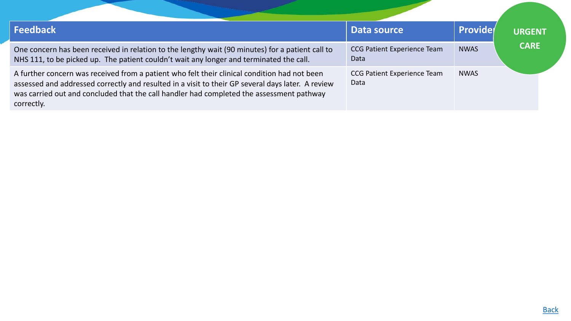| <b>Feedback</b>                                                                                                                                                                                                                                                                                             | Data source                                | <b>Provide</b> | <b>URGENT</b> |
|-------------------------------------------------------------------------------------------------------------------------------------------------------------------------------------------------------------------------------------------------------------------------------------------------------------|--------------------------------------------|----------------|---------------|
| One concern has been received in relation to the lengthy wait (90 minutes) for a patient call to<br>NHS 111, to be picked up. The patient couldn't wait any longer and terminated the call.                                                                                                                 | <b>CCG Patient Experience Team</b><br>Data | <b>NWAS</b>    | <b>CARE</b>   |
| A further concern was received from a patient who felt their clinical condition had not been<br>assessed and addressed correctly and resulted in a visit to their GP several days later. A review<br>was carried out and concluded that the call handler had completed the assessment pathway<br>correctly. | <b>CCG Patient Experience Team</b><br>Data | <b>NWAS</b>    |               |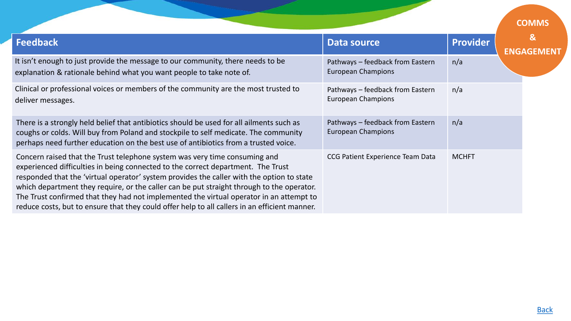<span id="page-32-0"></span>

|                                                                                                                                                                                                                                                                                                                                                                                                                                                                                                                                                      |                                                               |                 | <b>COMMS</b>                     |
|------------------------------------------------------------------------------------------------------------------------------------------------------------------------------------------------------------------------------------------------------------------------------------------------------------------------------------------------------------------------------------------------------------------------------------------------------------------------------------------------------------------------------------------------------|---------------------------------------------------------------|-----------------|----------------------------------|
| <b>Feedback</b>                                                                                                                                                                                                                                                                                                                                                                                                                                                                                                                                      | <b>Data source</b>                                            | <b>Provider</b> | $\mathbf{g}$<br><b>ENGAGEMEN</b> |
| It isn't enough to just provide the message to our community, there needs to be<br>explanation & rationale behind what you want people to take note of.                                                                                                                                                                                                                                                                                                                                                                                              | Pathways - feedback from Eastern<br><b>European Champions</b> | n/a             |                                  |
| Clinical or professional voices or members of the community are the most trusted to<br>deliver messages.                                                                                                                                                                                                                                                                                                                                                                                                                                             | Pathways - feedback from Eastern<br><b>European Champions</b> | n/a             |                                  |
| There is a strongly held belief that antibiotics should be used for all ailments such as<br>coughs or colds. Will buy from Poland and stockpile to self medicate. The community<br>perhaps need further education on the best use of antibiotics from a trusted voice.                                                                                                                                                                                                                                                                               | Pathways - feedback from Eastern<br><b>European Champions</b> | n/a             |                                  |
| Concern raised that the Trust telephone system was very time consuming and<br>experienced difficulties in being connected to the correct department. The Trust<br>responded that the 'virtual operator' system provides the caller with the option to state<br>which department they require, or the caller can be put straight through to the operator.<br>The Trust confirmed that they had not implemented the virtual operator in an attempt to<br>reduce costs, but to ensure that they could offer help to all callers in an efficient manner. | CCG Patient Experience Team Data                              | <b>MCHFT</b>    |                                  |